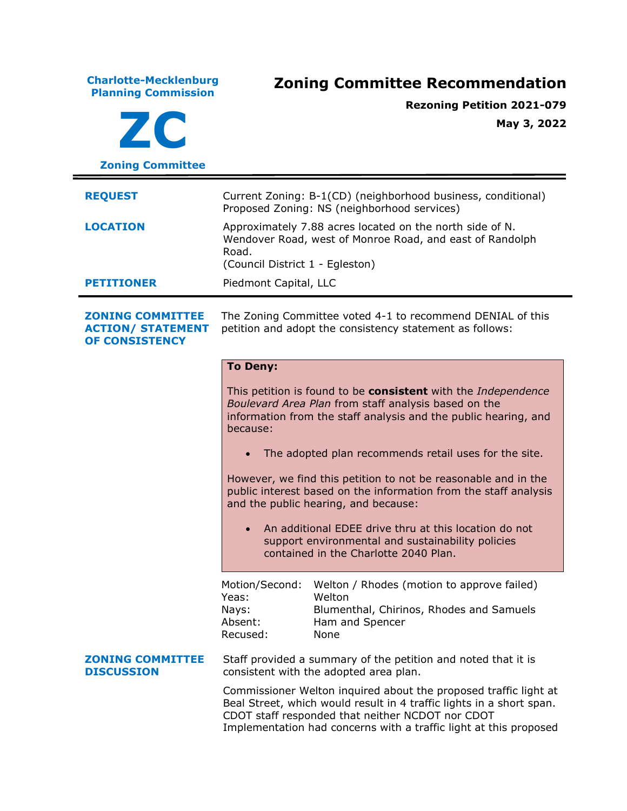| Current Zoning: B-1(CD) (neighborhood business, conditional)<br>Proposed Zoning: NS (neighborhood services)                                                                                                                                                                                                                                                                                                                                                                                                                                                                                                           |
|-----------------------------------------------------------------------------------------------------------------------------------------------------------------------------------------------------------------------------------------------------------------------------------------------------------------------------------------------------------------------------------------------------------------------------------------------------------------------------------------------------------------------------------------------------------------------------------------------------------------------|
|                                                                                                                                                                                                                                                                                                                                                                                                                                                                                                                                                                                                                       |
|                                                                                                                                                                                                                                                                                                                                                                                                                                                                                                                                                                                                                       |
| Approximately 7.88 acres located on the north side of N.<br>Wendover Road, west of Monroe Road, and east of Randolph<br>Road.<br>(Council District 1 - Egleston)                                                                                                                                                                                                                                                                                                                                                                                                                                                      |
| Piedmont Capital, LLC                                                                                                                                                                                                                                                                                                                                                                                                                                                                                                                                                                                                 |
| The Zoning Committee voted 4-1 to recommend DENIAL of this<br>petition and adopt the consistency statement as follows:                                                                                                                                                                                                                                                                                                                                                                                                                                                                                                |
| <b>To Deny:</b><br>This petition is found to be consistent with the Independence<br>Boulevard Area Plan from staff analysis based on the<br>information from the staff analysis and the public hearing, and<br>because:<br>The adopted plan recommends retail uses for the site.<br>However, we find this petition to not be reasonable and in the<br>public interest based on the information from the staff analysis<br>and the public hearing, and because:<br>An additional EDEE drive thru at this location do not<br>support environmental and sustainability policies<br>contained in the Charlotte 2040 Plan. |
| Welton / Rhodes (motion to approve failed)<br>Motion/Second:<br>Yeas:<br>Welton<br>Blumenthal, Chirinos, Rhodes and Samuels<br>Nays:<br>Absent:<br>Ham and Spencer<br>Recused:<br>None                                                                                                                                                                                                                                                                                                                                                                                                                                |
| Staff provided a summary of the petition and noted that it is<br>consistent with the adopted area plan.<br>Commissioner Welton inquired about the proposed traffic light at<br>Beal Street, which would result in 4 traffic lights in a short span.<br>CDOT staff responded that neither NCDOT nor CDOT                                                                                                                                                                                                                                                                                                               |
|                                                                                                                                                                                                                                                                                                                                                                                                                                                                                                                                                                                                                       |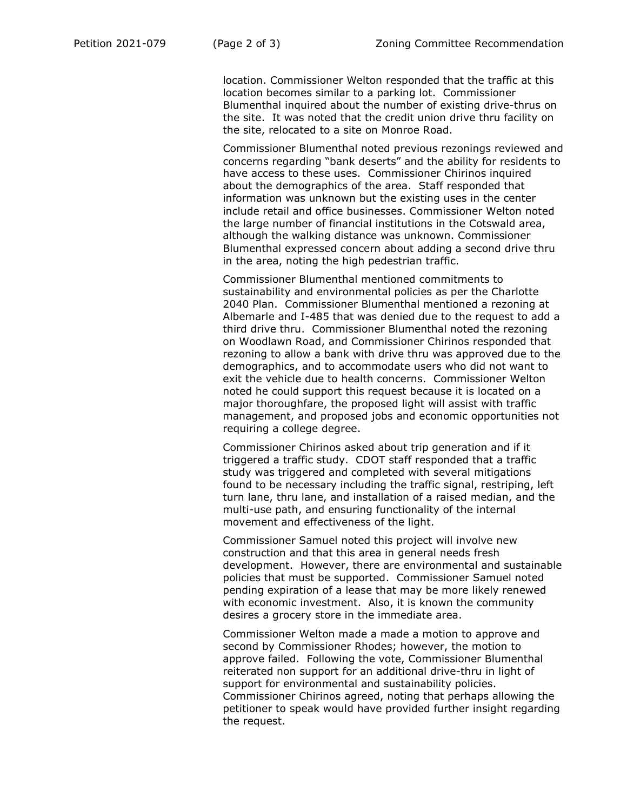location. Commissioner Welton responded that the traffic at this location becomes similar to a parking lot. Commissioner Blumenthal inquired about the number of existing drive-thrus on the site. It was noted that the credit union drive thru facility on the site, relocated to a site on Monroe Road.

Commissioner Blumenthal noted previous rezonings reviewed and concerns regarding "bank deserts" and the ability for residents to have access to these uses. Commissioner Chirinos inquired about the demographics of the area. Staff responded that information was unknown but the existing uses in the center include retail and office businesses. Commissioner Welton noted the large number of financial institutions in the Cotswald area, although the walking distance was unknown. Commissioner Blumenthal expressed concern about adding a second drive thru in the area, noting the high pedestrian traffic.

Commissioner Blumenthal mentioned commitments to sustainability and environmental policies as per the Charlotte 2040 Plan. Commissioner Blumenthal mentioned a rezoning at Albemarle and I-485 that was denied due to the request to add a third drive thru. Commissioner Blumenthal noted the rezoning on Woodlawn Road, and Commissioner Chirinos responded that rezoning to allow a bank with drive thru was approved due to the demographics, and to accommodate users who did not want to exit the vehicle due to health concerns. Commissioner Welton noted he could support this request because it is located on a major thoroughfare, the proposed light will assist with traffic management, and proposed jobs and economic opportunities not requiring a college degree.

Commissioner Chirinos asked about trip generation and if it triggered a traffic study. CDOT staff responded that a traffic study was triggered and completed with several mitigations found to be necessary including the traffic signal, restriping, left turn lane, thru lane, and installation of a raised median, and the multi-use path, and ensuring functionality of the internal movement and effectiveness of the light.

Commissioner Samuel noted this project will involve new construction and that this area in general needs fresh development. However, there are environmental and sustainable policies that must be supported. Commissioner Samuel noted pending expiration of a lease that may be more likely renewed with economic investment. Also, it is known the community desires a grocery store in the immediate area.

Commissioner Welton made a made a motion to approve and second by Commissioner Rhodes; however, the motion to approve failed. Following the vote, Commissioner Blumenthal reiterated non support for an additional drive-thru in light of support for environmental and sustainability policies. Commissioner Chirinos agreed, noting that perhaps allowing the petitioner to speak would have provided further insight regarding the request.